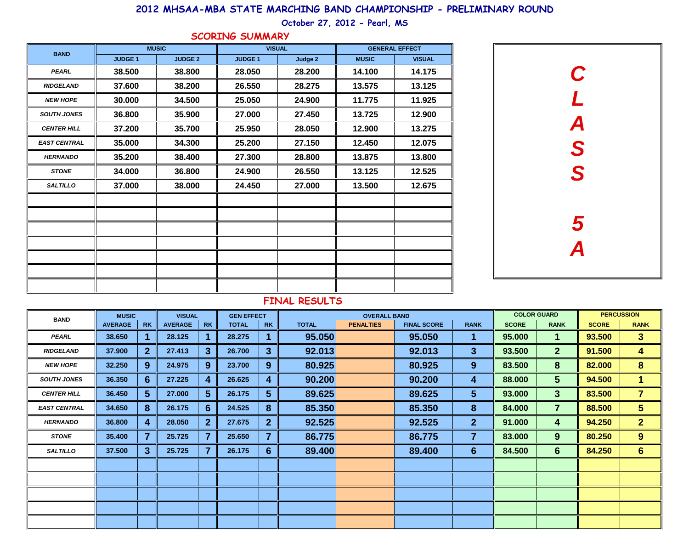### **2012 MHSAA-MBA STATE MARCHING BAND CHAMPIONSHIP - PRELIMINARY ROUND**

## **October 27, 2012 - Pearl, MS**

|  |  |  |  |  |  |  | SCORING SUMMARY |
|--|--|--|--|--|--|--|-----------------|
|--|--|--|--|--|--|--|-----------------|

| <b>BAND</b>         |               | <b>MUSIC</b>   |               | <b>VISUAL</b> |              | <b>GENERAL EFFECT</b><br><b>VISUAL</b><br>14.175<br>13.125<br>11.925<br>12.900<br>13.275<br>12.075<br>13.800<br>12.525<br>12.675 |  |  |
|---------------------|---------------|----------------|---------------|---------------|--------------|----------------------------------------------------------------------------------------------------------------------------------|--|--|
|                     | <b>JUDGE1</b> | <b>JUDGE 2</b> | <b>JUDGE1</b> | Judge 2       | <b>MUSIC</b> |                                                                                                                                  |  |  |
| <b>PEARL</b>        | 38,500        | 38,800         | 28,050        | 28.200        | 14.100       |                                                                                                                                  |  |  |
| <b>RIDGELAND</b>    | 37.600        | 38.200         | 26.550        | 28.275        | 13.575       |                                                                                                                                  |  |  |
| <b>NEW HOPE</b>     | 30.000        | 34.500         | 25.050        | 24.900        | 11.775       |                                                                                                                                  |  |  |
| <b>SOUTH JONES</b>  | 36.800        | 35.900         | 27,000        | 27.450        | 13.725       |                                                                                                                                  |  |  |
| <b>CENTER HILL</b>  | 37.200        | 35.700         | 25.950        | 28.050        | 12.900       |                                                                                                                                  |  |  |
| <b>EAST CENTRAL</b> | 35.000        | 34.300         | 25.200        | 27.150        | 12.450       |                                                                                                                                  |  |  |
| <b>HERNANDO</b>     | 35.200        | 38.400         | 27.300        | 28,800        | 13.875       |                                                                                                                                  |  |  |
| <b>STONE</b>        | 34.000        | 36.800         | 24.900        | 26.550        | 13.125       |                                                                                                                                  |  |  |
| <b>SALTILLO</b>     | 37,000        | 38.000         | 24.450        | 27.000        | 13.500       |                                                                                                                                  |  |  |
|                     |               |                |               |               |              |                                                                                                                                  |  |  |
|                     |               |                |               |               |              |                                                                                                                                  |  |  |
|                     |               |                |               |               |              |                                                                                                                                  |  |  |
|                     |               |                |               |               |              |                                                                                                                                  |  |  |
|                     |               |                |               |               |              |                                                                                                                                  |  |  |
|                     |               |                |               |               |              |                                                                                                                                  |  |  |
|                     |               |                |               |               |              |                                                                                                                                  |  |  |



### **FINAL RESULTS**

| <b>BAND</b>         | <b>MUSIC</b>   |                | <b>VISUAL</b>  |              | <b>GEN EFFECT</b> |                | <b>OVERALL BAND</b> |                  |                    |                  | <b>COLOR GUARD</b> |                |              | <b>PERCUSSION</b> |  |  |
|---------------------|----------------|----------------|----------------|--------------|-------------------|----------------|---------------------|------------------|--------------------|------------------|--------------------|----------------|--------------|-------------------|--|--|
|                     | <b>AVERAGE</b> | <b>RK</b>      | <b>AVERAGE</b> | <b>RK</b>    | <b>TOTAL</b>      | <b>RK</b>      | <b>TOTAL</b>        | <b>PENALTIES</b> | <b>FINAL SCORE</b> | <b>RANK</b>      | <b>SCORE</b>       | <b>RANK</b>    | <b>SCORE</b> | <b>RANK</b>       |  |  |
| PEARL               | 38.650         |                | 28.125         |              | 28.275            |                | 95.050              |                  | 95.050             | 1                | 95.000             | 1              | 93.500       | 3 <sup>1</sup>    |  |  |
| <b>RIDGELAND</b>    | 37.900         | 2 <sub>2</sub> | 27.413         | 3            | 26.700            | $\mathbf{3}$   | 92.013              |                  | 92.013             | $\mathbf{3}$     | 93.500             | 2 <sup>2</sup> | 91.500       | 4                 |  |  |
| <b>NEW HOPE</b>     | 32.250         | 9              | 24.975         | 9            | 23.700            | 9              | 80.925              |                  | 80.925             | 9                | 83.500             | 8              | 82.000       | $\bf{8}$          |  |  |
| <b>SOUTH JONES</b>  | 36.350         | $6 \,$         | 27.225         | 4            | 26.625            | 4              | 90.200              |                  | 90.200             | 4                | 88.000             | $5\phantom{.}$ | 94.500       | 1.                |  |  |
| <b>CENTER HILL</b>  | 36.450         | 5 <sup>5</sup> | 27.000         | $5^{\circ}$  | 26.175            | $5\phantom{1}$ | 89.625              |                  | 89.625             | 5 <sup>5</sup>   | 93.000             | 3 <sup>5</sup> | 83.500       | $\overline{7}$    |  |  |
| <b>EAST CENTRAL</b> | 34.650         | 8              | 26.175         | 6            | 24.525            | 8              | 85.350              |                  | 85.350             | 8                | 84.000             | $\overline{7}$ | 88.500       | 5 <sup>5</sup>    |  |  |
| <b>HERNANDO</b>     | 36.800         | 4              | 28.050         | $\mathbf{2}$ | 27.675            | $\overline{2}$ | 92.525              |                  | 92.525             | $\mathbf{2}$     | 91.000             | 4              | 94.250       | 2 <sup>1</sup>    |  |  |
| <b>STONE</b>        | 35.400         | $\overline{7}$ | 25.725         | 7            | 25.650            | 7              | 86.775              |                  | 86.775             | 7                | 83.000             | 9              | 80.250       | 9 <sup>°</sup>    |  |  |
| <b>SALTILLO</b>     | 37.500         | $\mathbf{3}$   | 25.725         |              | 26.175            | 6              | 89.400              |                  | 89.400             | $6 \overline{6}$ | 84.500             | $6\phantom{1}$ | 84.250       | 6 <sup>1</sup>    |  |  |
|                     |                |                |                |              |                   |                |                     |                  |                    |                  |                    |                |              |                   |  |  |
|                     |                |                |                |              |                   |                |                     |                  |                    |                  |                    |                |              |                   |  |  |
|                     |                |                |                |              |                   |                |                     |                  |                    |                  |                    |                |              |                   |  |  |
|                     |                |                |                |              |                   |                |                     |                  |                    |                  |                    |                |              |                   |  |  |
|                     |                |                |                |              |                   |                |                     |                  |                    |                  |                    |                |              |                   |  |  |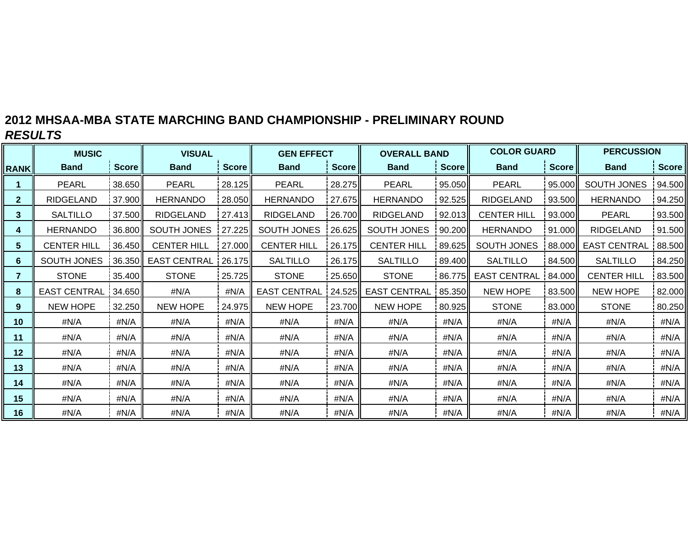# **2012 MHSAA-MBA STATE MARCHING BAND CHAMPIONSHIP - PRELIMINARY ROUND** *RESULTS*

|              | <b>MUSIC</b>        |              | <b>VISUAL</b>         |          | <b>GEN EFFECT</b>   |              | <b>OVERALL BAND</b>   |        | <b>COLOR GUARD</b>  |              | <b>PERCUSSION</b>   |              |  |
|--------------|---------------------|--------------|-----------------------|----------|---------------------|--------------|-----------------------|--------|---------------------|--------------|---------------------|--------------|--|
| <b>RANK</b>  | <b>Band</b>         | <b>Score</b> | <b>Band</b>           | Score l' | <b>Band</b>         | <b>Score</b> | <b>Band</b>           | Score  | <b>Band</b>         | <b>Score</b> | <b>Band</b>         | <b>Score</b> |  |
|              | <b>PEARL</b>        | 38.650       | <b>PEARL</b>          | 28.125   | <b>PEARL</b>        | 28.275       | <b>PEARL</b>          | 95.050 | <b>PEARL</b>        | 95.000       | SOUTH JONES         | 94.500       |  |
| $\mathbf{2}$ | <b>RIDGELAND</b>    | 37.900       | <b>HERNANDO</b>       | 28.050   | <b>HERNANDO</b>     | 27.675       | <b>HERNANDO</b>       | 92.525 | <b>RIDGELAND</b>    | 93.500       | <b>HERNANDO</b>     | 94.250       |  |
| 3            | <b>SALTILLO</b>     | 37.500       | <b>RIDGELAND</b>      | 27.413I  | <b>RIDGELAND</b>    | 26.700       | <b>RIDGELAND</b>      | 92.013 | <b>CENTER HILL</b>  | 93.000       | <b>PEARL</b>        | 93.500       |  |
| 4            | <b>HERNANDO</b>     | 36.800       | SOUTH JONES           | 127.225  | SOUTH JONES         | 26.625       | SOUTH JONES           | 90.200 |                     | 91.000       | <b>RIDGELAND</b>    | 91.500       |  |
| 5            | <b>CENTER HILL</b>  | 36.450       | <b>CENTER HILL</b>    | 27.000   | <b>CENTER HILL</b>  | 26.175       | <b>CENTER HILL</b>    | 89.625 | SOUTH JONES         | 88.000       | <b>EAST CENTRAL</b> | 88.500       |  |
| 6            | SOUTH JONES         | 36.350       | EAST CENTRAL   26.175 |          | <b>SALTILLO</b>     | 26.175       | <b>SALTILLO</b>       | 89.400 | <b>SALTILLO</b>     | 84.500       | <b>SALTILLO</b>     | 84.250       |  |
| 7            | <b>STONE</b>        | 35.400       | <b>STONE</b>          | 25.725   | <b>STONE</b>        | 25.650       | <b>STONE</b>          | 86.775 | <b>EAST CENTRAL</b> | 84.000       | <b>CENTER HILL</b>  | 83.500       |  |
| 8            | <b>EAST CENTRAL</b> | 34.650       | #N/A                  | #N/A     | <b>EAST CENTRAL</b> | 24.525       | EAST CENTRAL   85.350 |        | <b>NEW HOPE</b>     | 83.500       | NEW HOPE            | 82.000       |  |
| 9            | <b>NEW HOPE</b>     | 32.250       | <b>NEW HOPE</b>       | 24.975   | NEW HOPE            | 23.700       | <b>NEW HOPE</b>       | 80.925 | <b>STONE</b>        | 83.000       | <b>STONE</b>        | 80.250       |  |
| 10           | #N/A                | #N/A         | #N/A                  | #N/A     | #N/A                | #N/A         | #N/A                  | #N/A   | #N/A                | #N/A         | #N/A                | #N/A         |  |
| 11           | #N/A                | #N/A         | #N/A                  | #N/A     | #N/A                | #N/A         | #N/A                  | #N/A   | #N/A                | #N/A         | #N/A                | #N/A         |  |
| $12 \,$      | #N/A                | #N/A         | #N/A                  | #N/A     | #N/A                | #N/A         | #N/A                  | #N/A   | #N/A                | #N/A         | #N/A                | #N/A         |  |
| 13           | #N/A                | #N/A         | #N/A                  | #N/A     | #N/A                | #N/A         | #N/A                  | #N/A   | #N/A                | #N/A         | #N/A                | #N/A         |  |
| 14           | #N/A                | #N/A         | #N/A                  | #N/A     | #N/A                | #N/A         | #N/A                  | #N/A   | #N/A                | #N/A         | #N/A                | #N/A         |  |
| 15           | #N/A                | #N/A         | #N/A                  | #N/A     | #N/A                | #N/A         | #N/A                  | #N/A   | #N/A                | #N/A         | #N/A                | #N/A         |  |
| 16           | #N/A                | #N/A         | #N/A                  | #N/A     | #N/A                | #N/A         |                       | #N/A   | #N/A                | #N/A         | #N/A                | #N/A         |  |